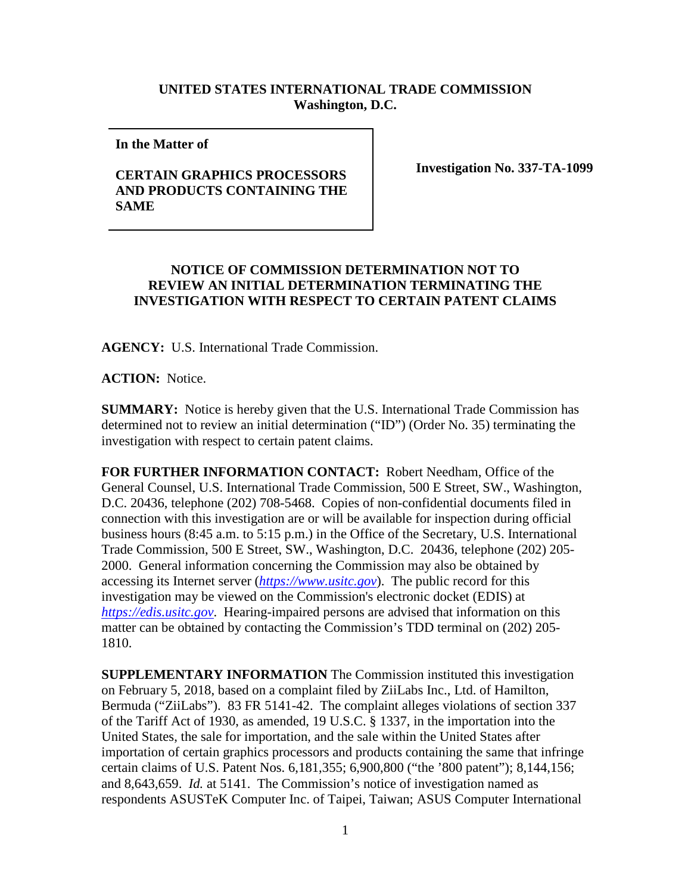## **UNITED STATES INTERNATIONAL TRADE COMMISSION Washington, D.C.**

**In the Matter of** 

## **CERTAIN GRAPHICS PROCESSORS AND PRODUCTS CONTAINING THE SAME**

**Investigation No. 337-TA-1099**

## **NOTICE OF COMMISSION DETERMINATION NOT TO REVIEW AN INITIAL DETERMINATION TERMINATING THE INVESTIGATION WITH RESPECT TO CERTAIN PATENT CLAIMS**

**AGENCY:** U.S. International Trade Commission.

**ACTION:** Notice.

**SUMMARY:** Notice is hereby given that the U.S. International Trade Commission has determined not to review an initial determination ("ID") (Order No. 35) terminating the investigation with respect to certain patent claims.

**FOR FURTHER INFORMATION CONTACT:** Robert Needham, Office of the General Counsel, U.S. International Trade Commission, 500 E Street, SW., Washington, D.C. 20436, telephone (202) 708-5468. Copies of non-confidential documents filed in connection with this investigation are or will be available for inspection during official business hours (8:45 a.m. to 5:15 p.m.) in the Office of the Secretary, U.S. International Trade Commission, 500 E Street, SW., Washington, D.C. 20436, telephone (202) 205- 2000. General information concerning the Commission may also be obtained by accessing its Internet server (*[https://www.usitc.gov](https://www.usitc.gov/)*). The public record for this investigation may be viewed on the Commission's electronic docket (EDIS) at *[https://edis.usitc.gov](https://edis.usitc.gov/)*. Hearing-impaired persons are advised that information on this matter can be obtained by contacting the Commission's TDD terminal on (202) 205- 1810.

**SUPPLEMENTARY INFORMATION** The Commission instituted this investigation on February 5, 2018, based on a complaint filed by ZiiLabs Inc., Ltd. of Hamilton, Bermuda ("ZiiLabs"). 83 FR 5141-42. The complaint alleges violations of section 337 of the Tariff Act of 1930, as amended, 19 U.S.C. § 1337, in the importation into the United States, the sale for importation, and the sale within the United States after importation of certain graphics processors and products containing the same that infringe certain claims of U.S. Patent Nos. 6,181,355; 6,900,800 ("the '800 patent"); 8,144,156; and 8,643,659. *Id.* at 5141. The Commission's notice of investigation named as respondents ASUSTeK Computer Inc. of Taipei, Taiwan; ASUS Computer International